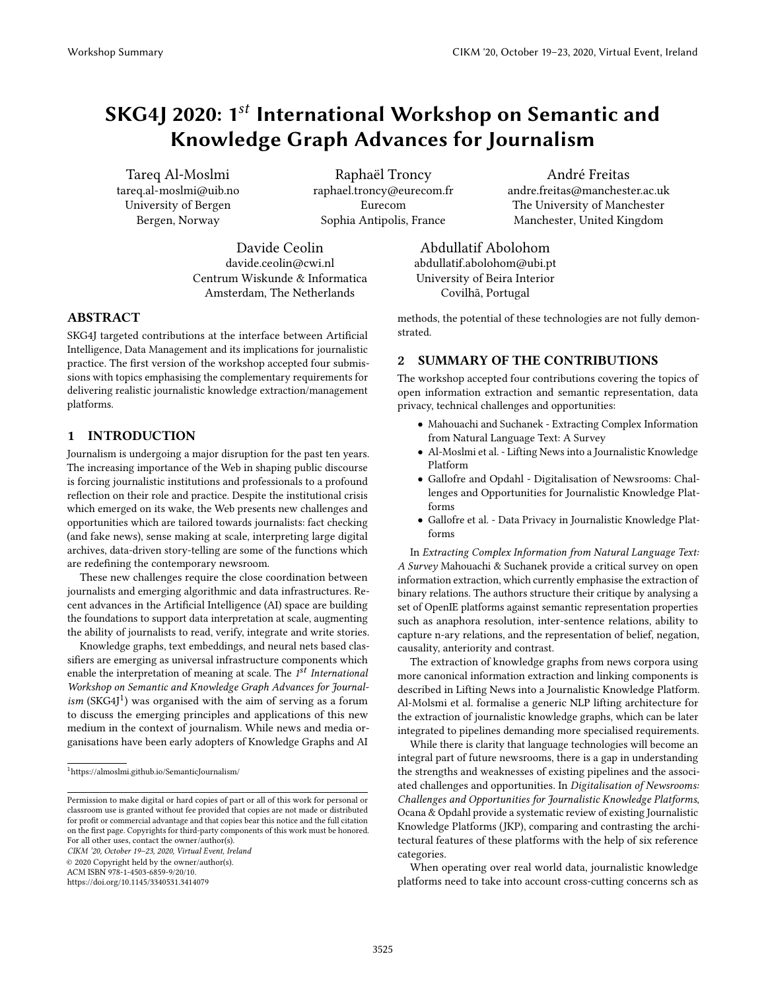# SKG4J 2020: 1<sup>st</sup> International Workshop on Semantic and Knowledge Graph Advances for Journalism

Tareq Al-Moslmi tareq.al-moslmi@uib.no University of Bergen Bergen, Norway

Raphaël Troncy raphael.troncy@eurecom.fr Eurecom Sophia Antipolis, France

Davide Ceolin davide.ceolin@cwi.nl Centrum Wiskunde & Informatica Amsterdam, The Netherlands

## ABSTRACT

SKG4J targeted contributions at the interface between Artificial Intelligence, Data Management and its implications for journalistic practice. The first version of the workshop accepted four submissions with topics emphasising the complementary requirements for delivering realistic journalistic knowledge extraction/management platforms.

## 1 INTRODUCTION

Journalism is undergoing a major disruption for the past ten years. The increasing importance of the Web in shaping public discourse is forcing journalistic institutions and professionals to a profound reflection on their role and practice. Despite the institutional crisis which emerged on its wake, the Web presents new challenges and opportunities which are tailored towards journalists: fact checking (and fake news), sense making at scale, interpreting large digital archives, data-driven story-telling are some of the functions which are redefining the contemporary newsroom.

These new challenges require the close coordination between journalists and emerging algorithmic and data infrastructures. Recent advances in the Artificial Intelligence (AI) space are building the foundations to support data interpretation at scale, augmenting the ability of journalists to read, verify, integrate and write stories.

Knowledge graphs, text embeddings, and neural nets based classifiers are emerging as universal infrastructure components which enable the interpretation of meaning at scale. The  $1^{st}$  International Workshop on Semantic and Knowledge Graph Advances for Journalism (SKG4J<sup>1</sup>) was organised with the aim of serving as a forum to discuss the emerging principles and applications of this new medium in the context of journalism. While news and media organisations have been early adopters of Knowledge Graphs and AI

CIKM '20, October 19–23, 2020, Virtual Event, Ireland

© 2020 Copyright held by the owner/author(s).

ACM ISBN 978-1-4503-6859-9/20/10.

<https://doi.org/10.1145/3340531.3414079>

André Freitas andre.freitas@manchester.ac.uk The University of Manchester Manchester, United Kingdom

Abdullatif Abolohom abdullatif.abolohom@ubi.pt University of Beira Interior Covilhã, Portugal

methods, the potential of these technologies are not fully demonstrated.

## 2 SUMMARY OF THE CONTRIBUTIONS

The workshop accepted four contributions covering the topics of open information extraction and semantic representation, data privacy, technical challenges and opportunities:

- Mahouachi and Suchanek Extracting Complex Information from Natural Language Text: A Survey
- Al-Moslmi et al. Lifting News into a Journalistic Knowledge Platform
- Gallofre and Opdahl Digitalisation of Newsrooms: Challenges and Opportunities for Journalistic Knowledge Platforms
- Gallofre et al. Data Privacy in Journalistic Knowledge Platforms

In Extracting Complex Information from Natural Language Text: A Survey Mahouachi & Suchanek provide a critical survey on open information extraction, which currently emphasise the extraction of binary relations. The authors structure their critique by analysing a set of OpenIE platforms against semantic representation properties such as anaphora resolution, inter-sentence relations, ability to capture n-ary relations, and the representation of belief, negation, causality, anteriority and contrast.

The extraction of knowledge graphs from news corpora using more canonical information extraction and linking components is described in Lifting News into a Journalistic Knowledge Platform. Al-Molsmi et al. formalise a generic NLP lifting architecture for the extraction of journalistic knowledge graphs, which can be later integrated to pipelines demanding more specialised requirements.

While there is clarity that language technologies will become an integral part of future newsrooms, there is a gap in understanding the strengths and weaknesses of existing pipelines and the associated challenges and opportunities. In Digitalisation of Newsrooms: Challenges and Opportunities for Journalistic Knowledge Platforms, Ocana & Opdahl provide a systematic review of existing Journalistic Knowledge Platforms (JKP), comparing and contrasting the architectural features of these platforms with the help of six reference categories.

When operating over real world data, journalistic knowledge platforms need to take into account cross-cutting concerns sch as

 $^1$ <https://almoslmi.github.io/SemanticJournalism/>

Permission to make digital or hard copies of part or all of this work for personal or classroom use is granted without fee provided that copies are not made or distributed for profit or commercial advantage and that copies bear this notice and the full citation on the first page. Copyrights for third-party components of this work must be honored. For all other uses, contact the owner/author(s).